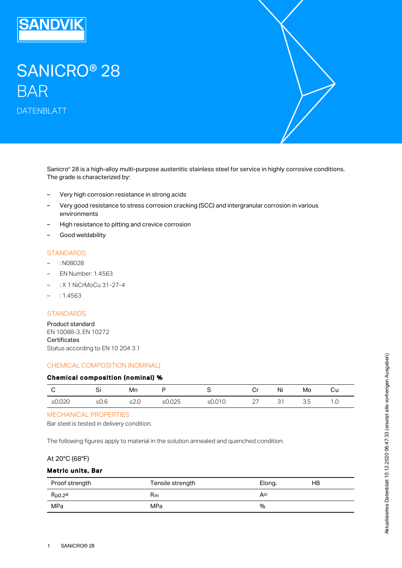

# SANICRO® 28 BAR DATENBLATT

Sanicro® 28 is a high-alloy multi-purpose austenitic stainless steel for service in highly corrosive conditions. The grade is characterized by:

- Very high corrosion resistance in strong acids
- Very good resistance to stress corrosion cracking (SCC) and intergranular corrosion in various environments –
- High resistance to pitting and crevice corrosion
- Good weldability

### **STANDARDS**

- : N08028
- EN Number: 1.4563
- : X 1 NiCrMoCu 31-27-4
- $: 1.4563$

# **STANDARDS**

Product standard EN 10088-3, EN 10272 **Certificates** Status according to EN 10 204 3.1

# CHEMICAL COMPOSITION (NOMINAL)

#### Chemical composition (nominal) %

|           | $\sim$<br>ັ | Mn  |                                  |                    | .              | .<br>Νı | Mo   | vu              |
|-----------|-------------|-----|----------------------------------|--------------------|----------------|---------|------|-----------------|
| ≤ $0.020$ | –∽          | --- | $\cap$<br>ั ) ๒<br><b>20.020</b> | 010<br>⊇U.U I<br>ັ | ∩¬<br><u>_</u> | ັ       | ں .ر | $\cdot$ $\circ$ |

#### MECHANICAL PROPERTIES

Bar steel is tested in delivery condition.

The following figures apply to material in the solution annealed and quenched condition.

## At 20°C (68°F)

#### Metric units, Bar

| Proof strength | Tensile strength | Elong. | НB |
|----------------|------------------|--------|----|
| $R_{p0.2}$ a)  | Rm               | Ab)    |    |
| MPa            | MPa              | %      |    |